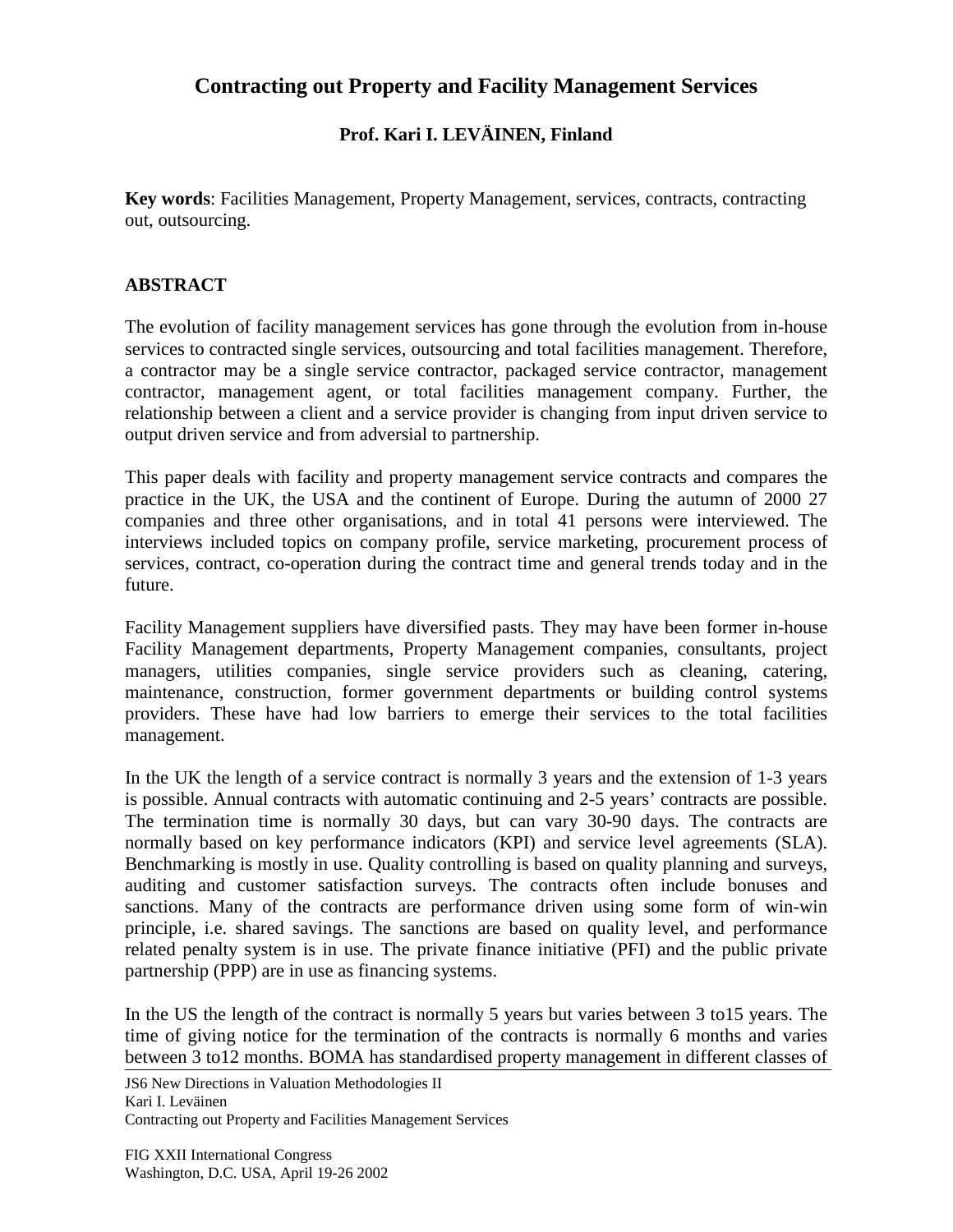## **Contracting out Property and Facility Management Services**

## **Prof. Kari I. LEVÄINEN, Finland**

**Key words**: Facilities Management, Property Management, services, contracts, contracting out, outsourcing.

## **ABSTRACT**

The evolution of facility management services has gone through the evolution from in-house services to contracted single services, outsourcing and total facilities management. Therefore, a contractor may be a single service contractor, packaged service contractor, management contractor, management agent, or total facilities management company. Further, the relationship between a client and a service provider is changing from input driven service to output driven service and from adversial to partnership.

This paper deals with facility and property management service contracts and compares the practice in the UK, the USA and the continent of Europe. During the autumn of 2000 27 companies and three other organisations, and in total 41 persons were interviewed. The interviews included topics on company profile, service marketing, procurement process of services, contract, co-operation during the contract time and general trends today and in the future.

Facility Management suppliers have diversified pasts. They may have been former in-house Facility Management departments, Property Management companies, consultants, project managers, utilities companies, single service providers such as cleaning, catering, maintenance, construction, former government departments or building control systems providers. These have had low barriers to emerge their services to the total facilities management.

In the UK the length of a service contract is normally 3 years and the extension of 1-3 years is possible. Annual contracts with automatic continuing and 2-5 years' contracts are possible. The termination time is normally 30 days, but can vary 30-90 days. The contracts are normally based on key performance indicators (KPI) and service level agreements (SLA). Benchmarking is mostly in use. Quality controlling is based on quality planning and surveys, auditing and customer satisfaction surveys. The contracts often include bonuses and sanctions. Many of the contracts are performance driven using some form of win-win principle, i.e. shared savings. The sanctions are based on quality level, and performance related penalty system is in use. The private finance initiative (PFI) and the public private partnership (PPP) are in use as financing systems.

In the US the length of the contract is normally 5 years but varies between 3 to15 years. The time of giving notice for the termination of the contracts is normally 6 months and varies between 3 to12 months. BOMA has standardised property management in different classes of

JS6 New Directions in Valuation Methodologies II Kari I. Leväinen Contracting out Property and Facilities Management Services